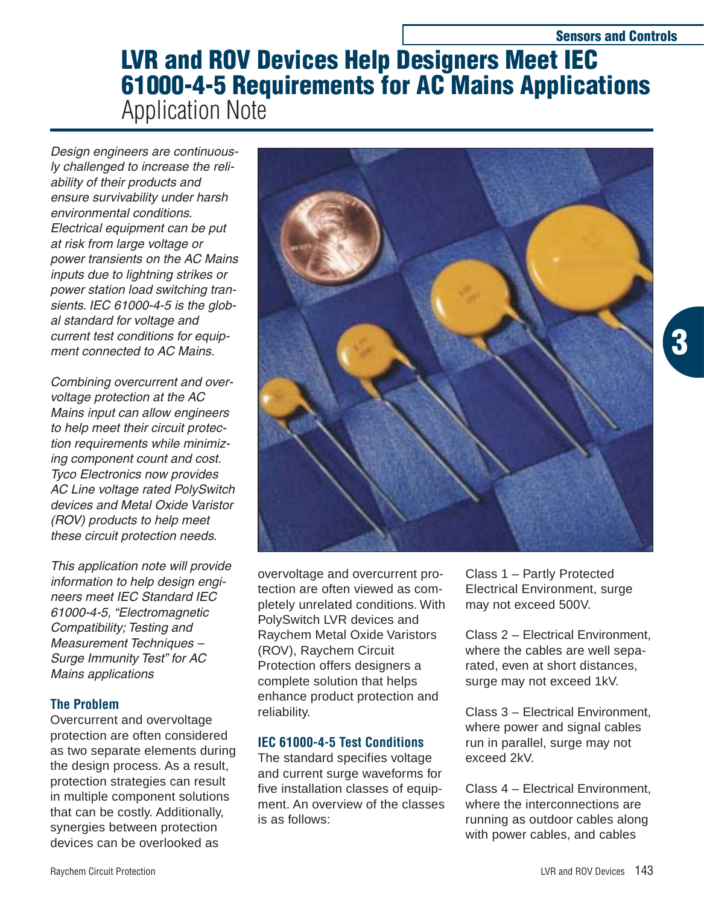# **LVR and ROV Devices Help Designers Meet IEC 61000-4-5 Requirements for AC Mains Applications** Application Note

Design engineers are continuously challenged to increase the reliability of their products and ensure survivability under harsh environmental conditions. Electrical equipment can be put at risk from large voltage or power transients on the AC Mains inputs due to lightning strikes or power station load switching transients. IEC 61000-4-5 is the global standard for voltage and current test conditions for equipment connected to AC Mains.

Combining overcurrent and overvoltage protection at the AC Mains input can allow engineers to help meet their circuit protection requirements while minimizing component count and cost. Tyco Electronics now provides AC Line voltage rated PolySwitch devices and Metal Oxide Varistor (ROV) products to help meet these circuit protection needs.

This application note will provide information to help design engineers meet IEC Standard IEC 61000-4-5, "Electromagnetic Compatibility; Testing and Measurement Techniques – Surge Immunity Test" for AC Mains applications

# **The Problem**

Overcurrent and overvoltage protection are often considered as two separate elements during the design process. As a result, protection strategies can result in multiple component solutions that can be costly. Additionally, synergies between protection devices can be overlooked as



overvoltage and overcurrent protection are often viewed as completely unrelated conditions. With PolySwitch LVR devices and Raychem Metal Oxide Varistors (ROV), Raychem Circuit Protection offers designers a complete solution that helps enhance product protection and reliability.

# **IEC 61000-4-5 Test Conditions**

The standard specifies voltage and current surge waveforms for five installation classes of equipment. An overview of the classes is as follows:

Class 1 – Partly Protected Electrical Environment, surge may not exceed 500V.

Class 2 – Electrical Environment, where the cables are well separated, even at short distances, surge may not exceed 1kV.

Class 3 – Electrical Environment, where power and signal cables run in parallel, surge may not exceed 2kV.

Class 4 – Electrical Environment, where the interconnections are running as outdoor cables along with power cables, and cables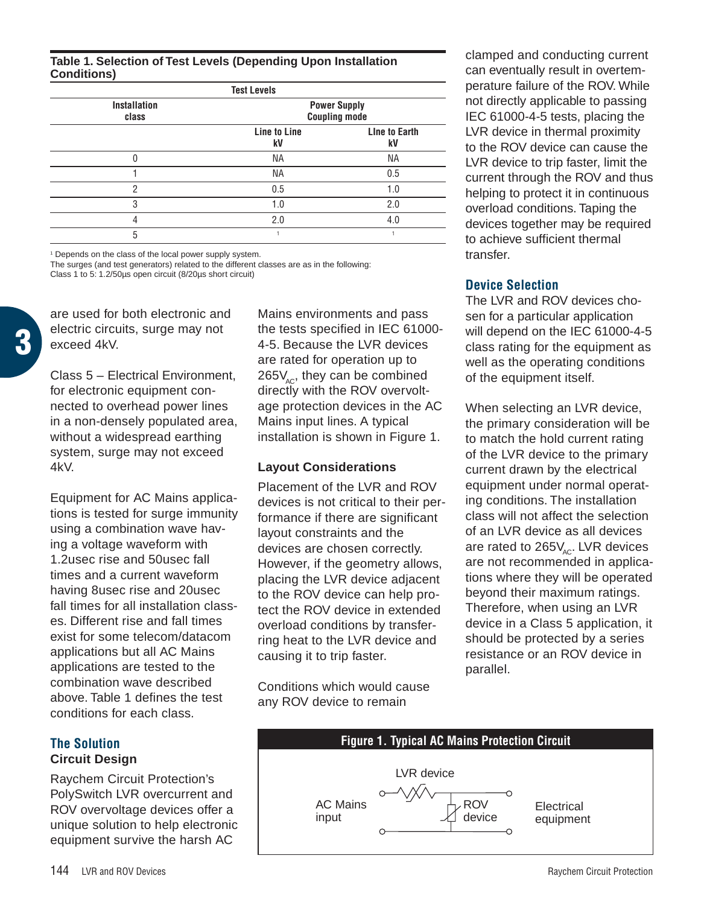**Table 1. Selection of Test Levels (Depending Upon Installation Conditions)**

| <b>Test Levels</b>           |                                             |                            |  |  |
|------------------------------|---------------------------------------------|----------------------------|--|--|
| <b>Installation</b><br>class | <b>Power Supply</b><br><b>Coupling mode</b> |                            |  |  |
|                              | Line to Line<br>kV                          | <b>Line to Earth</b><br>kV |  |  |
| N                            | <b>NA</b>                                   | <b>NA</b>                  |  |  |
|                              | <b>NA</b>                                   | 0.5                        |  |  |
| 2                            | 0.5                                         | 1.0                        |  |  |
| 3                            | 1.0                                         | 2.0                        |  |  |
|                              | 2.0                                         | 4.0                        |  |  |
| 5                            |                                             |                            |  |  |

<sup>1</sup> Depends on the class of the local power supply system.

The surges (and test generators) related to the different classes are as in the following: Class 1 to 5: 1.2/50µs open circuit (8/20µs short circuit)

are used for both electronic and electric circuits, surge may not exceed 4kV.

**3**

Class 5 – Electrical Environment, for electronic equipment connected to overhead power lines in a non-densely populated area, without a widespread earthing system, surge may not exceed 4kV.

Equipment for AC Mains applications is tested for surge immunity using a combination wave having a voltage waveform with 1.2usec rise and 50usec fall times and a current waveform having 8usec rise and 20usec fall times for all installation classes. Different rise and fall times exist for some telecom/datacom applications but all AC Mains applications are tested to the combination wave described above. Table 1 defines the test conditions for each class.

## **The Solution Circuit Design**

Raychem Circuit Protection's PolySwitch LVR overcurrent and ROV overvoltage devices offer a unique solution to help electronic equipment survive the harsh AC

Mains environments and pass the tests specified in IEC 61000- 4-5. Because the LVR devices are rated for operation up to  $265V_{\rm acc}$ , they can be combined directly with the ROV overvoltage protection devices in the AC Mains input lines. A typical installation is shown in Figure 1.

#### **Layout Considerations**

Placement of the LVR and ROV devices is not critical to their performance if there are significant layout constraints and the devices are chosen correctly. However, if the geometry allows, placing the LVR device adjacent to the ROV device can help protect the ROV device in extended overload conditions by transferring heat to the LVR device and causing it to trip faster.

Conditions which would cause any ROV device to remain

clamped and conducting current can eventually result in overtemperature failure of the ROV. While not directly applicable to passing IEC 61000-4-5 tests, placing the LVR device in thermal proximity to the ROV device can cause the LVR device to trip faster, limit the current through the ROV and thus helping to protect it in continuous overload conditions. Taping the devices together may be required to achieve sufficient thermal transfer.

### **Device Selection**

The LVR and ROV devices chosen for a particular application will depend on the IEC 61000-4-5 class rating for the equipment as well as the operating conditions of the equipment itself.

When selecting an LVR device, the primary consideration will be to match the hold current rating of the LVR device to the primary current drawn by the electrical equipment under normal operating conditions. The installation class will not affect the selection of an LVR device as all devices are rated to  $265V_{AC}$ . LVR devices are not recommended in applications where they will be operated beyond their maximum ratings. Therefore, when using an LVR device in a Class 5 application, it should be protected by a series resistance or an ROV device in parallel.